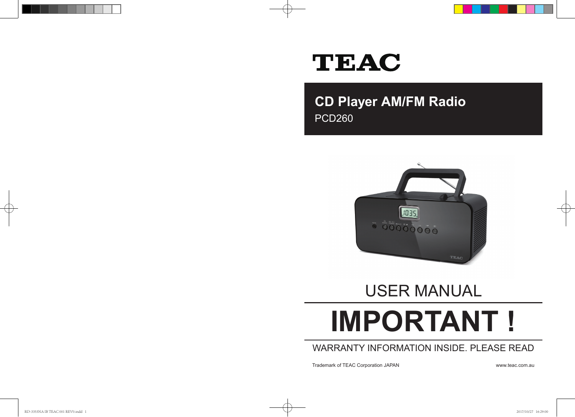# **TEAC**

**CD Player AM/FM Radio** PCD260



# USER MANUAL

# **IMPORTANT !**

# WARRANTY INFORMATION INSIDE. PLEASE READ

Trademark of TEAC Corporation JAPAN www.teac.com.au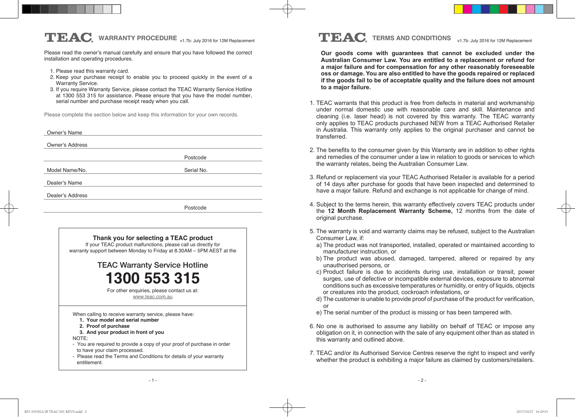Please read the owner's manual carefully and ensure that you have followed the correct installation and operating procedures.

- 1. Please read this warranty card.
- 2. Keep your purchase receipt to enable you to proceed quickly in the event of a Warranty Service.
- 3. If you require Warranty Service, please contact the TEAC Warranty Service Hotline at 1300 553 315 for assistance. Please ensure that you have the model number, serial number and purchase receipt ready when you call.

Please complete the section below and keep this information for your own records.

| Owner's Name           |            |  |
|------------------------|------------|--|
|                        |            |  |
| <b>Owner's Address</b> |            |  |
|                        | Postcode   |  |
| Model Name/No.         | Serial No. |  |
| Dealer's Name          |            |  |
| Dealer's Address       |            |  |
|                        | Postcode   |  |
|                        |            |  |
|                        |            |  |



# **TEAC** WARRANTY PROCEDURE <sub>v1.7b: July 2016 for 12M Replacement **TEAC** TERMS AND CONDITIONS v1.7b: July 2016 for 12M Replacement</sub>

**Our goods come with guarantees that cannot be excluded under the Australian Consumer Law. You are entitled to a replacement or refund for a major failure and for compensation for any other reasonably foreseeable oss or damage. You are also entitled to have the goods repaired or replaced if the goods fail to be of acceptable quality and the failure does not amount to a major failure.** 

- 1. TEAC warrants that this product is free from defects in material and workmanship under normal domestic use with reasonable care and skill. Maintenance and cleaning (i.e. laser head) is not covered by this warranty. The TEAC warranty only applies to TEAC products purchased NEW from a TEAC Authorised Retailer in Australia. This warranty only applies to the original purchaser and cannot be transferred.
- 2. The benefits to the consumer given by this Warranty are in addition to other rights and remedies of the consumer under a law in relation to goods or services to which the warranty relates, being the Australian Consumer Law.
- 3. Refund or replacement via your TEAC Authorised Retailer is available for a period of 14 days after purchase for goods that have been inspected and determined to have a major failure. Refund and exchange is not applicable for change of mind.
- 4. Subject to the terms herein, this warranty effectively covers TEAC products under the **12 Month Replacement Warranty Scheme,** 12 months from the date of original purchase.
- 5. The warranty is void and warranty claims may be refused, subject to the Australian Consumer Law, if:
	- a) The product was not transported, installed, operated or maintained according to manufacturer instruction, or
	- b) The product was abused, damaged, tampered, altered or repaired by any unauthorised persons, or
	- c) Product failure is due to accidents during use, installation or transit, power surges, use of defective or incompatible external devices, exposure to abnormal conditions such as excessive temperatures or humidity, or entry of liquids, objects or creatures into the product, cockroach infestations, or
	- d) The customer is unable to provide proof of purchase of the product for verification, or
	- e) The serial number of the product is missing or has been tampered with.
- 6. No one is authorised to assume any liability on behalf of TEAC or impose any obligation on it, in connection with the sale of any equipment other than as stated in this warranty and outlined above.
- 7. TEAC and/or its Authorised Service Centres reserve the right to inspect and verify whether the product is exhibiting a major failure as claimed by customers/retailers.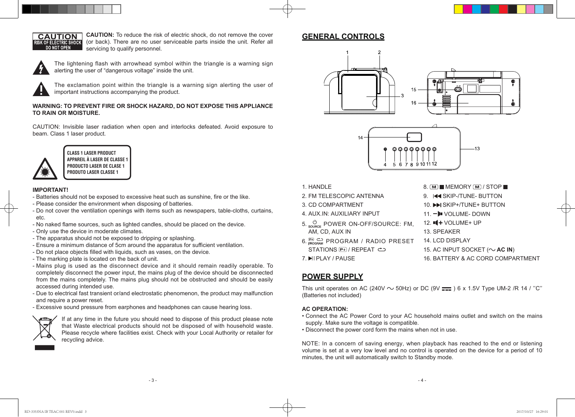

**CAUTION:** To reduce the risk of electric shock, do not remove the cover (or back). There are no user serviceable parts inside the unit. Refer all servicing to qualify personnel.



The lightening flash with arrowhead symbol within the triangle is a warning sign alerting the user of "dangerous voltage" inside the unit.

The exclamation point within the triangle is a warning sign alerting the user of important instructions accompanying the product.

#### **WARNING: TO PREVENT FIRE OR SHOCK HAZARD, DO NOT EXPOSE THIS APPLIANCE TO RAIN OR MOISTURE.**

CAUTION: Invisible laser radiation when open and interlocks defeated. Avoid exposure to beam. Class 1 laser product.



**CLASS 1 LASER PRODUCT APPAREIL À LASER DE CLASSE 1 PRODUCTO LASER DE CLASE 1 PRODUTO LASER CLASSE 1**

#### **IMPORTANT!**

- Batteries should not be exposed to excessive heat such as sunshine, fire or the like.
- Please consider the environment when disposing of batteries.
- Do not cover the ventilation openings with items such as newspapers, table-cloths, curtains, etc.
- No naked flame sources, such as lighted candles, should be placed on the device.
- Only use the device in moderate climates.
- The apparatus should not be exposed to dripping or splashing.
- Ensure a minimum distance of 5cm around the apparatus for sufficient ventilation.
- Do not place objects filled with liquids, such as vases, on the device.
- The marking plate is located on the back of unit.
- Mains plug is used as the disconnect device and it should remain readily operable. To completely disconnect the power input, the mains plug of the device should be disconnected from the mains completely. The mains plug should not be obstructed and should be easily accessed during intended use.
- Due to electrical fast transient or/and electrostatic phenomenon, the product may malfunction and require a power reset.
- Excessive sound pressure from earphones and headphones can cause hearing loss.



If at any time in the future you should need to dispose of this product please note that Waste electrical products should not be disposed of with household waste. Please recycle where facilities exist. Check with your Local Authority or retailer for recycling advice.

# **GENERAL CONTROLS**





 $8. \overline{M}$  MEMORY  $\overline{M}$  / STOP 9. IK SKIP-/TUNE- BUTTON 10. **► ISKIP+/TUNE+ BUTTON** 11. - I VOLUME-DOWN  $12.$   $\P + \text{VOLUME} + \text{UP}$ 

15. AC INPUT SOCKET  $(\sim$  **AC IN**)

16. BATTERY & AC CORD COMPARTMENT

- 1. HANDLE
- 2. FM TELESCOPIC ANTENNA
- 3. CD COMPARTMENT
- 4. AUX.IN: AUXILIARY INPUT
- 5. SOURCE: POWER ON-OFF/SOURCE: FM, AM, CD, AUX IN
- 6.  $\frac{[P_1]}{[P_0]}\overset{C}{\hookrightarrow}$  PROGRAM / RADIO PRESET STATIONS P+ / REPEAT  $\Rightarrow$
- 7. **MI PLAY / PAUSE**

# **POWER SUPPLY**

This unit operates on AC (240V  $\sim$  50Hz) or DC (9V  $\frac{1}{\sqrt{1-\frac{1}{n}}}$ ) 6 x 1.5V Type UM-2 /R 14 / "C" (Batteries not included)

13. SPEAKER 14. LCD DISPLAY

#### **AC OPERATION:**

- Connect the AC Power Cord to your AC household mains outlet and switch on the mains supply. Make sure the voltage is compatible.
- Disconnect the power cord form the mains when not in use.

NOTE: In a concern of saving energy, when playback has reached to the end or listening volume is set at a very low level and no control is operated on the device for a period of 10 minutes, the unit will automatically switch to Standby mode.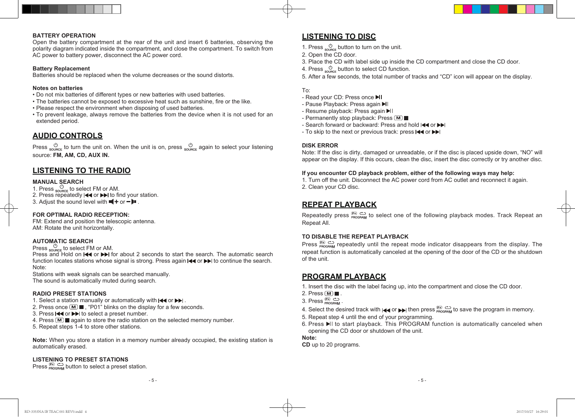#### **BATTERY OPERATION**

Open the battery compartment at the rear of the unit and insert 6 batteries, observing the polarity diagram indicated inside the compartment, and close the compartment. To switch from AC power to battery power, disconnect the AC power cord.

#### **Battery Replacement**

Batteries should be replaced when the volume decreases or the sound distorts.

#### **Notes on batteries**

- Do not mix batteries of different types or new batteries with used batteries.
- The batteries cannot be exposed to excessive heat such as sunshine, fire or the like.
- Please respect the environment when disposing of used batteries.
- To prevent leakage, always remove the batteries from the device when it is not used for an extended period.

# **AUDIO CONTROLS**

Press  $\circledcirc_{\text{souner}}$  to turn the unit on. When the unit is on, press  $\circledcirc_{\text{souner}}$  again to select your listening source: **FM, AM, CD, AUX IN.**

# **LISTENING TO THE RADIO**

#### **MANUAL SEARCH**

- 1. Press  $_{\text{source}}$  to select FM or AM. 2. Press repeatedly  $\blacktriangleright$  or  $\blacktriangleright$  to find your station.
- 3. Adjust the sound level with  $\P +$  or  $-\blacksquare$ .

#### **FOR OPTIMAL RADIO RECEPTION:**

FM: Extend and position the telescopic antenna. AM: Rotate the unit horizontally.

#### **AUTOMATIC SEARCH**

## Press  $\frac{0}{\text{Souger}}$  to select FM or AM.

Press and Hold on  $\blacktriangleleft$  or  $\blacktriangleright$  for about 2 seconds to start the search. The automatic search function locates stations whose signal is strong. Press again  $\blacktriangleleft$  or  $\blacktriangleright$  to continue the search. Note:

Stations with weak signals can be searched manually. The sound is automatically muted during search.

#### **RADIO PRESET STATIONS**

- 1. Select a station manually or automatically with  $\blacktriangleleft$  or  $\blacktriangleright$ .
- 2. Press once  $\boxed{M}$   $\boxed{m}$ , "P01" blinks on the display for a few seconds.
- 3. Press  $\blacktriangleleft$  or  $\blacktriangleright$  to select a preset number.
- 4. Press  $M$  again to store the radio station on the selected memory number.
- 5. Repeat steps 1-4 to store other stations.

**Note:** When you store a station in a memory number already occupied, the existing station is automatically erased.

#### **LISTENING TO PRESET STATIONS**

Press  $_{\text{PROGBAM}}^{\text{(P+)}}$  button to select a preset station.

# **LISTENING TO DISC**

1. Press  $\frac{0}{\text{source}}$  button to turn on the unit.

- 2. Open the CD door.
- 3. Place the CD with label side up inside the CD compartment and close the CD door.
- 4. Press  $\frac{0}{2}$  button to select CD function.
- 5. After a few seconds, the total number of tracks and "CD" icon will appear on the display.

#### To:

- Read your CD: Press once ▶I
- Pause Playback: Press again
- Resume playback: Press again II
- Permanently stop playback: Press [M]
- Search forward or backward: Press and hold I
- To skip to the next or previous track: press  $\blacktriangleleft$  or  $\blacktriangleright$

#### **DISK ERROR**

Note: If the disc is dirty, damaged or unreadable, or if the disc is placed upside down, "NO" will appear on the display. If this occurs, clean the disc, insert the disc correctly or try another disc.

#### **If you encounter CD playback problem, either of the following ways may help:**

1. Turn off the unit. Disconnect the AC power cord from AC outlet and reconnect it again. 2. Clean your CD disc.

# **REPEAT PLAYBACK**

Repeatedly press  $\mathbb{E}$   $\mathbb{C}$  to select one of the following playback modes. Track Repeat an Repeat All.

#### **TO DISABLE THE REPEAT PLAYBACK**

Press  $\frac{p}{p}$  repeatedly until the repeat mode indicator disappears from the display. The repeat function is automatically canceled at the opening of the door of the CD or the shutdown of the unit.

## **PROGRAM PLAYBACK**

- 1. Insert the disc with the label facing up, into the compartment and close the CD door.
- 2. Press  $\boxed{M}$ .
	- 3. Press  $\overline{P}$ <sub>PROGRAM</sub>
	- 4. Select the desired track with  $\text{A}$  or  $\text{B}$  then press  $\frac{\text{p}}{\text{PROGBAM}}$  to save the program in memory.
	- 5. Repeat step 4 until the end of your programming.
	- 6. Press  $\blacktriangleright$  to start playback. This PROGRAM function is automatically canceled when opening the CD door or shutdown of the unit.

#### **Note:**

**CD** up to 20 programs.